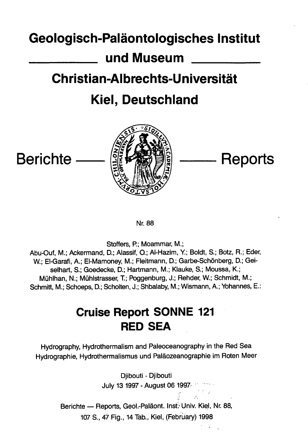### **Geologisch-Palaontologisches Institut**

# **und Museum**

# **Christian-Albrechts-Universitat**

# **Kiel, Deutschland**



Nr. 88

Staffers, P.; Moammar, M.;

Abu-Ouf, M.; Ackermand, Q; Alassif, Q; Al-Hazim, Y; Boldt, S.; Botz, R.; Eder, W.; El-Garafi, A.; El-Mamoney, M.; Fleitmann, D.; Garbe-Schönberg, D.; Geiselhart, S.; Goedecke, D.; Hartmann, M.; Klauke, S.; Moussa, K.; Miihlhan, N.; Muhlstrasser, T.; Poggenburg, J.; Rehder, W.; Schmidt, M.; Schmitt, M.; Schoeps, Q; Scholten, J.; Shbalaby, M.; Wismann, A.; Yohannes, E.:

## **Cruise Report SONNE 121 RED SEA**

Hydrography, Hydrothermalism and Paleoceanography in the Red Sea Hydrographie, Hydrothermalismus und Palaozeanographie im Roten Meer

> Djibouti - Djibouti July 13 1997 - August 06 1997

Berichte — Reports, Geol.-Paläont. Inst. Univ. Kiel, Nr. 88, 107 S., 47 Fig., 14 Tab., Kiel, (February) 1998